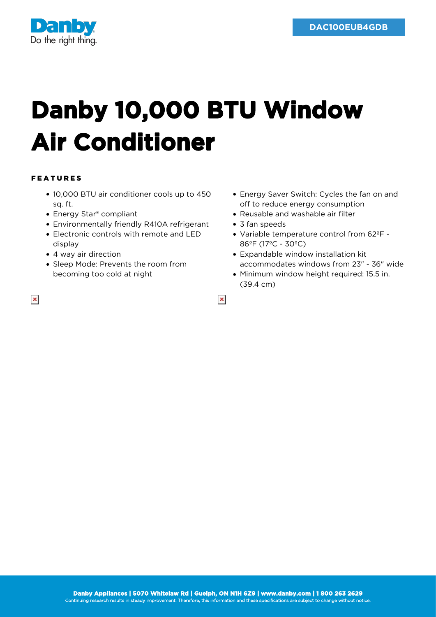

## **Danby 10,000 BTU Window Air Conditioner**

## FEATURES

- 10,000 BTU air conditioner cools up to 450 sq. ft.
- Energy Star<sup>®</sup> compliant
- Environmentally friendly R410A refrigerant
- Electronic controls with remote and LED display
- 4 way air direction
- Sleep Mode: Prevents the room from becoming too cold at night
- Energy Saver Switch: Cycles the fan on and off to reduce energy consumption
- Reusable and washable air filter
- 3 fan speeds

 $\pmb{\times}$ 

- Variable temperature control from 62ºF 86ºF (17ºC - 30ºC)
- Expandable window installation kit accommodates windows from 23" - 36" wide
- Minimum window height required: 15.5 in. (39.4 cm)

 $\pmb{\times}$